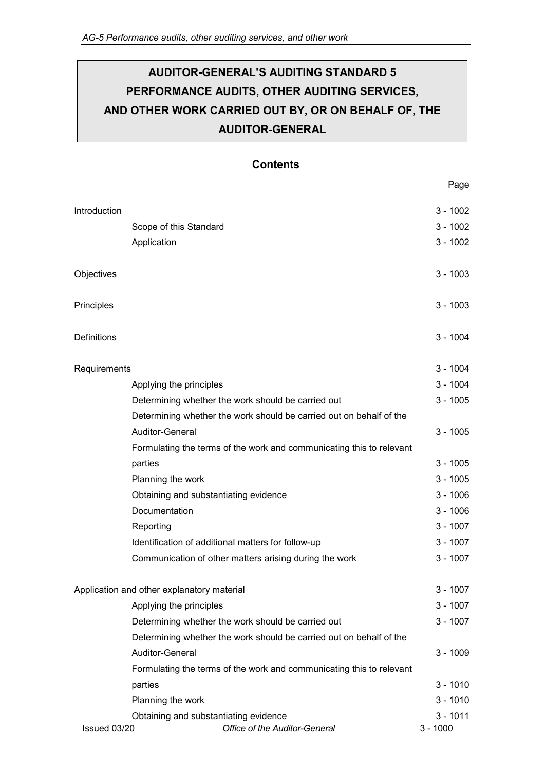# **AUDITOR-GENERAL'S AUDITING STANDARD 5 PERFORMANCE AUDITS, OTHER AUDITING SERVICES, AND OTHER WORK CARRIED OUT BY, OR ON BEHALF OF, THE AUDITOR-GENERAL**

### **Contents**

Page

| Introduction                               |                                                                      |            | $3 - 1002$ |
|--------------------------------------------|----------------------------------------------------------------------|------------|------------|
|                                            | Scope of this Standard                                               |            | $3 - 1002$ |
|                                            | Application                                                          |            | $3 - 1002$ |
|                                            |                                                                      |            |            |
| Objectives                                 |                                                                      |            | $3 - 1003$ |
|                                            |                                                                      |            |            |
| Principles                                 |                                                                      |            | $3 - 1003$ |
|                                            |                                                                      |            |            |
| <b>Definitions</b>                         |                                                                      |            | $3 - 1004$ |
|                                            |                                                                      |            |            |
| Requirements                               |                                                                      | $3 - 1004$ |            |
|                                            | Applying the principles                                              |            | $3 - 1004$ |
|                                            | Determining whether the work should be carried out                   |            | $3 - 1005$ |
|                                            | Determining whether the work should be carried out on behalf of the  |            |            |
|                                            | Auditor-General                                                      |            | $3 - 1005$ |
|                                            | Formulating the terms of the work and communicating this to relevant |            |            |
|                                            | parties                                                              |            | $3 - 1005$ |
|                                            | Planning the work                                                    |            | $3 - 1005$ |
|                                            | Obtaining and substantiating evidence                                |            | $3 - 1006$ |
|                                            | Documentation                                                        |            | $3 - 1006$ |
|                                            | Reporting                                                            |            | $3 - 1007$ |
|                                            | Identification of additional matters for follow-up                   |            | $3 - 1007$ |
|                                            | Communication of other matters arising during the work               |            | $3 - 1007$ |
|                                            |                                                                      |            |            |
| Application and other explanatory material |                                                                      |            | $3 - 1007$ |
|                                            | Applying the principles                                              |            | 3 - 1007   |
|                                            | Determining whether the work should be carried out                   |            | $3 - 1007$ |
|                                            | Determining whether the work should be carried out on behalf of the  |            |            |
|                                            | Auditor-General                                                      |            | $3 - 1009$ |
|                                            | Formulating the terms of the work and communicating this to relevant |            |            |
|                                            | parties                                                              |            | $3 - 1010$ |
|                                            | Planning the work                                                    |            | $3 - 1010$ |
|                                            | Obtaining and substantiating evidence                                |            | $3 - 1011$ |
| Issued 03/20                               | Office of the Auditor-General                                        |            | $3 - 1000$ |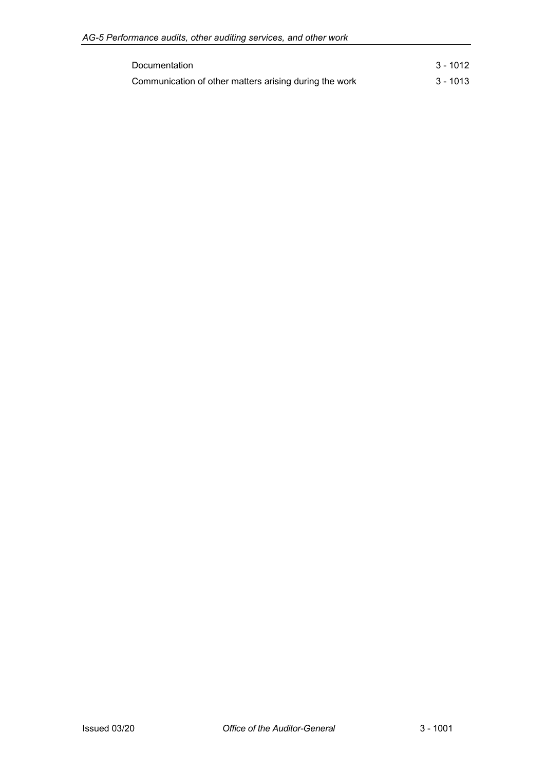| Documentation                                          | 3 - 1012 |
|--------------------------------------------------------|----------|
| Communication of other matters arising during the work | 3 - 1013 |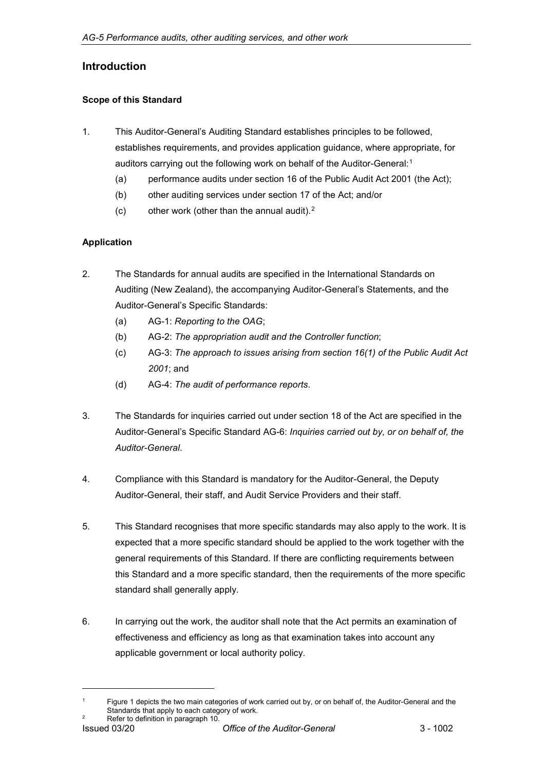# <span id="page-2-0"></span>**Introduction**

### <span id="page-2-1"></span>**Scope of this Standard**

- 1. This Auditor-General's Auditing Standard establishes principles to be followed, establishes requirements, and provides application guidance, where appropriate, for auditors carrying out the following work on behalf of the Auditor-General:<sup>[1](#page-2-3)</sup>
	- (a) performance audits under section 16 of the Public Audit Act 2001 (the Act);
	- (b) other auditing services under section 17 of the Act; and/or
	- (c) other work (other than the annual audit). $2$

### <span id="page-2-2"></span>**Application**

- 2. The Standards for annual audits are specified in the International Standards on Auditing (New Zealand), the accompanying Auditor-General's Statements, and the Auditor-General's Specific Standards:
	- (a) AG-1: *Reporting to the OAG*;
	- (b) AG-2: *The appropriation audit and the Controller function*;
	- (c) AG-3: *The approach to issues arising from section 16(1) of the Public Audit Act 2001*; and
	- (d) AG-4: *The audit of performance reports*.
- 3. The Standards for inquiries carried out under section 18 of the Act are specified in the Auditor-General's Specific Standard AG-6: *Inquiries carried out by, or on behalf of, the Auditor-General*.
- 4. Compliance with this Standard is mandatory for the Auditor-General, the Deputy Auditor-General, their staff, and Audit Service Providers and their staff.
- 5. This Standard recognises that more specific standards may also apply to the work. It is expected that a more specific standard should be applied to the work together with the general requirements of this Standard. If there are conflicting requirements between this Standard and a more specific standard, then the requirements of the more specific standard shall generally apply.
- 6. In carrying out the work, the auditor shall note that the Act permits an examination of effectiveness and efficiency as long as that examination takes into account any applicable government or local authority policy.

-

<span id="page-2-4"></span><span id="page-2-3"></span>Figure 1 depicts the two main categories of work carried out by, or on behalf of, the Auditor-General and the Standards that apply to each category of work.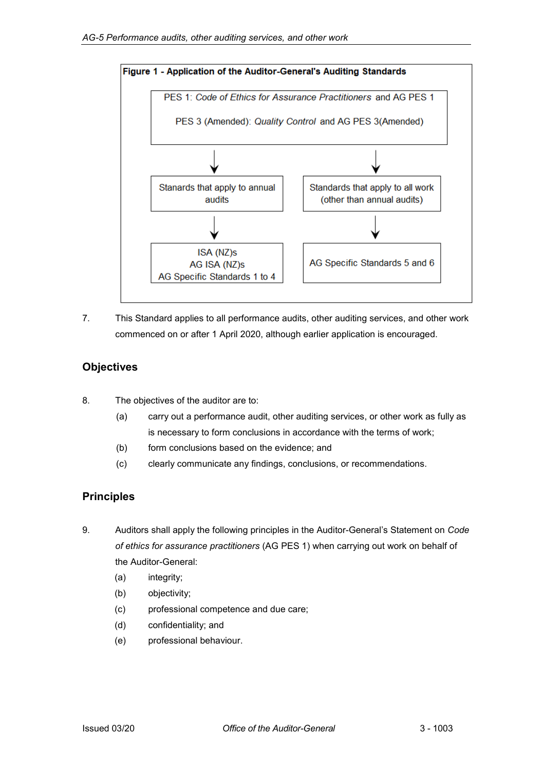

7. This Standard applies to all performance audits, other auditing services, and other work commenced on or after 1 April 2020, although earlier application is encouraged.

# <span id="page-3-0"></span>**Objectives**

- 8. The objectives of the auditor are to:
	- (a) carry out a performance audit, other auditing services, or other work as fully as is necessary to form conclusions in accordance with the terms of work;
	- (b) form conclusions based on the evidence; and
	- (c) clearly communicate any findings, conclusions, or recommendations.

# <span id="page-3-1"></span>**Principles**

- <span id="page-3-2"></span>9. Auditors shall apply the following principles in the Auditor-General's Statement on *Code of ethics for assurance practitioners* (AG PES 1) when carrying out work on behalf of the Auditor-General:
	- (a) integrity;
	- (b) objectivity;
	- (c) professional competence and due care;
	- (d) confidentiality; and
	- (e) professional behaviour.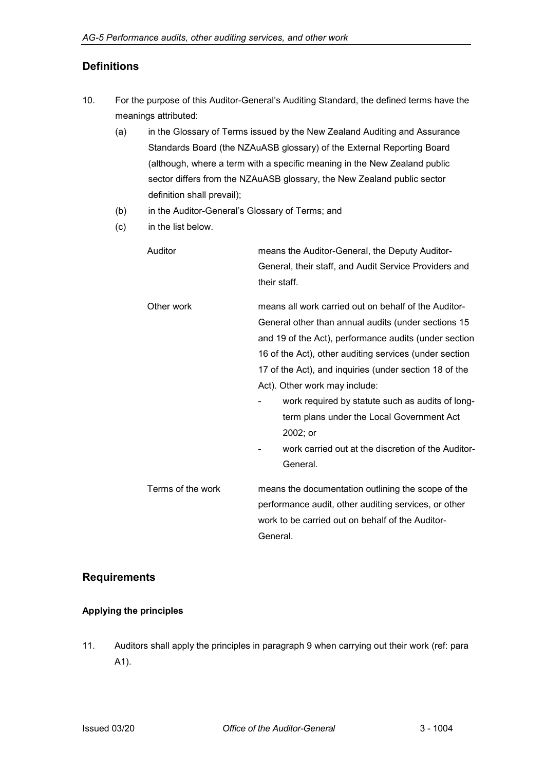# **Definitions**

- 10. For the purpose of this Auditor-General's Auditing Standard, the defined terms have the meanings attributed:
	- (a) in the Glossary of Terms issued by the New Zealand Auditing and Assurance Standards Board (the NZAuASB glossary) of the External Reporting Board (although, where a term with a specific meaning in the New Zealand public sector differs from the NZAuASB glossary, the New Zealand public sector definition shall prevail);
	- (b) in the Auditor-General's Glossary of Terms; and
	- (c) in the list below.

| Auditor           | means the Auditor-General, the Deputy Auditor-         |  |
|-------------------|--------------------------------------------------------|--|
|                   | General, their staff, and Audit Service Providers and  |  |
|                   | their staff.                                           |  |
| Other work        | means all work carried out on behalf of the Auditor-   |  |
|                   | General other than annual audits (under sections 15    |  |
|                   | and 19 of the Act), performance audits (under section  |  |
|                   | 16 of the Act), other auditing services (under section |  |
|                   | 17 of the Act), and inquiries (under section 18 of the |  |
|                   | Act). Other work may include:                          |  |
|                   | work required by statute such as audits of long-       |  |
|                   | term plans under the Local Government Act              |  |
|                   | 2002; or                                               |  |
|                   | work carried out at the discretion of the Auditor-     |  |
|                   | General.                                               |  |
| Terms of the work | means the documentation outlining the scope of the     |  |
|                   | performance audit, other auditing services, or other   |  |
|                   | work to be carried out on behalf of the Auditor-       |  |
|                   | General.                                               |  |

## <span id="page-4-0"></span>**Requirements**

### <span id="page-4-1"></span>**Applying the principles**

<span id="page-4-2"></span>11. Auditors shall apply the principles in paragraph 9 when carrying out their work (ref: para A1).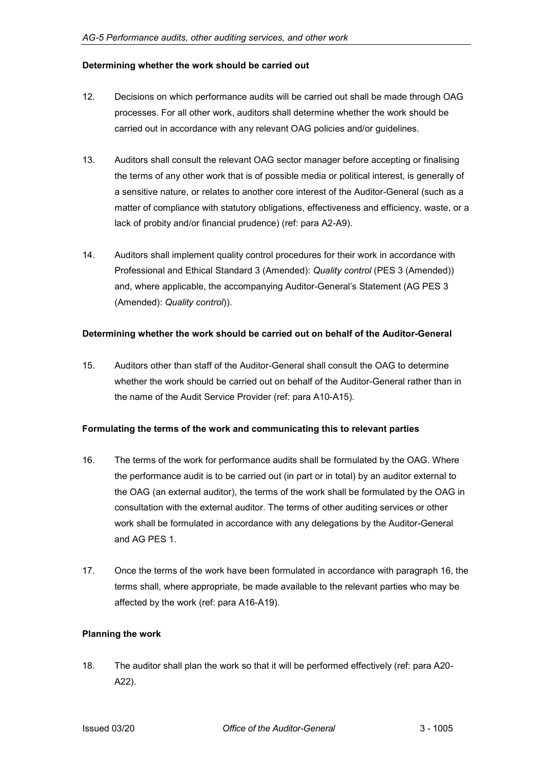#### **Determining whether the work should be carried out**

- 12. Decisions on which performance audits will be carried out shall be made through OAG processes. For all other work, auditors shall determine whether the work should be carried out in accordance with any relevant OAG policies and/or guidelines.
- 13. Auditors shall consult the relevant OAG sector manager before accepting or finalising the terms of any other work that is of possible media or political interest, is generally of a sensitive nature, or relates to another core interest of the Auditor-General (such as a matter of compliance with statutory obligations, effectiveness and efficiency, waste, or a lack of probity and/or financial prudence) (ref: para A2-A9).
- 14. Auditors shall implement quality control procedures for their work in accordance with Professional and Ethical Standard 3 (Amended): *Quality control* (PES 3 (Amended)) and, where applicable, the accompanying Auditor-General's Statement (AG PES 3 (Amended): *Quality control*)).

#### <span id="page-5-0"></span>**Determining whether the work should be carried out on behalf of the Auditor-General**

15. Auditors other than staff of the Auditor-General shall consult the OAG to determine whether the work should be carried out on behalf of the Auditor-General rather than in the name of the Audit Service Provider (ref: para A10-A15).

#### <span id="page-5-1"></span>**Formulating the terms of the work and communicating this to relevant parties**

- 16. The terms of the work for performance audits shall be formulated by the OAG. Where the performance audit is to be carried out (in part or in total) by an auditor external to the OAG (an external auditor), the terms of the work shall be formulated by the OAG in consultation with the external auditor. The terms of other auditing services or other work shall be formulated in accordance with any delegations by the Auditor-General and AG PES 1.
- 17. Once the terms of the work have been formulated in accordance with paragraph 16, the terms shall, where appropriate, be made available to the relevant parties who may be affected by the work (ref: para A16-A19).

#### <span id="page-5-2"></span>**Planning the work**

18. The auditor shall plan the work so that it will be performed effectively (ref: para A20- A22).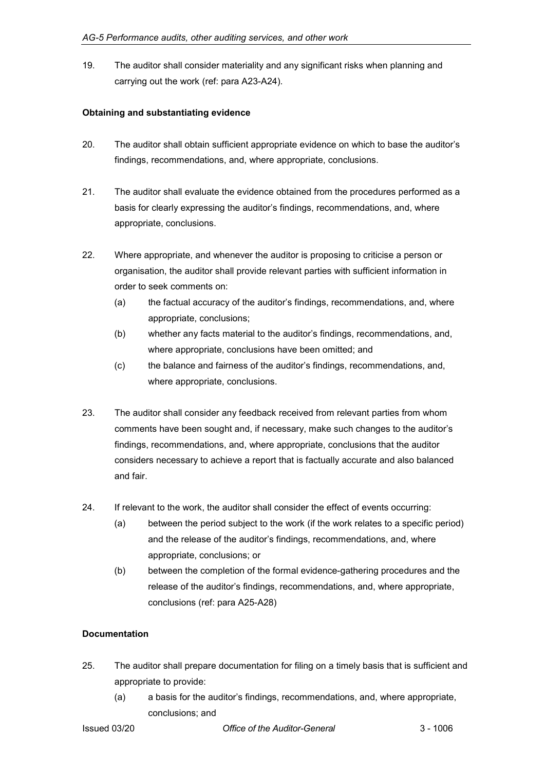19. The auditor shall consider materiality and any significant risks when planning and carrying out the work (ref: para A23-A24).

#### <span id="page-6-0"></span>**Obtaining and substantiating evidence**

- 20. The auditor shall obtain sufficient appropriate evidence on which to base the auditor's findings, recommendations, and, where appropriate, conclusions.
- 21. The auditor shall evaluate the evidence obtained from the procedures performed as a basis for clearly expressing the auditor's findings, recommendations, and, where appropriate, conclusions.
- 22. Where appropriate, and whenever the auditor is proposing to criticise a person or organisation, the auditor shall provide relevant parties with sufficient information in order to seek comments on:
	- (a) the factual accuracy of the auditor's findings, recommendations, and, where appropriate, conclusions;
	- (b) whether any facts material to the auditor's findings, recommendations, and, where appropriate, conclusions have been omitted; and
	- (c) the balance and fairness of the auditor's findings, recommendations, and, where appropriate, conclusions.
- 23. The auditor shall consider any feedback received from relevant parties from whom comments have been sought and, if necessary, make such changes to the auditor's findings, recommendations, and, where appropriate, conclusions that the auditor considers necessary to achieve a report that is factually accurate and also balanced and fair.
- 24. If relevant to the work, the auditor shall consider the effect of events occurring:
	- (a) between the period subject to the work (if the work relates to a specific period) and the release of the auditor's findings, recommendations, and, where appropriate, conclusions; or
	- (b) between the completion of the formal evidence-gathering procedures and the release of the auditor's findings, recommendations, and, where appropriate, conclusions (ref: para A25-A28)

#### <span id="page-6-1"></span>**Documentation**

- 25. The auditor shall prepare documentation for filing on a timely basis that is sufficient and appropriate to provide:
	- (a) a basis for the auditor's findings, recommendations, and, where appropriate, conclusions; and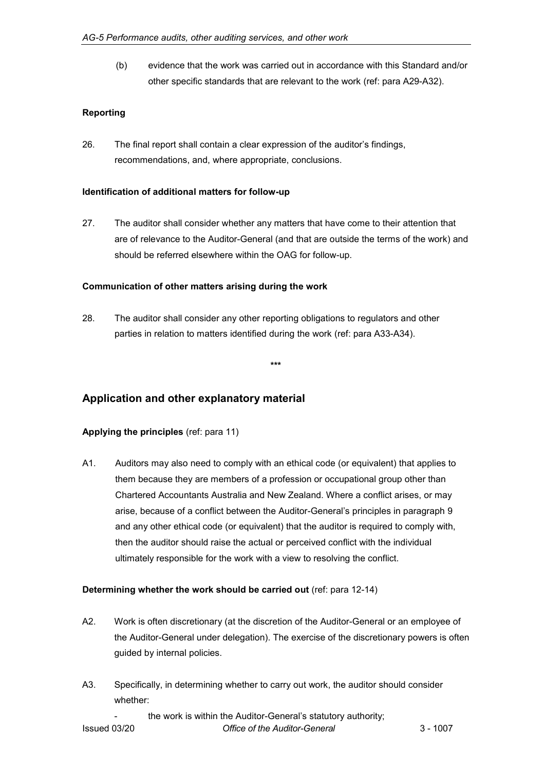(b) evidence that the work was carried out in accordance with this Standard and/or other specific standards that are relevant to the work (ref: para A29-A32).

#### <span id="page-7-0"></span>**Reporting**

26. The final report shall contain a clear expression of the auditor's findings, recommendations, and, where appropriate, conclusions.

#### <span id="page-7-1"></span>**Identification of additional matters for follow-up**

27. The auditor shall consider whether any matters that have come to their attention that are of relevance to the Auditor-General (and that are outside the terms of the work) and should be referred elsewhere within the OAG for follow-up.

#### <span id="page-7-2"></span>**Communication of other matters arising during the work**

28. The auditor shall consider any other reporting obligations to regulators and other parties in relation to matters identified during the work (ref: para A33-A34).

**\*\*\***

### <span id="page-7-3"></span>**Application and other explanatory material**

#### <span id="page-7-4"></span>**Applying the principles** (ref: para 11)

A1. Auditors may also need to comply with an ethical code (or equivalent) that applies to them because they are members of a profession or occupational group other than Chartered Accountants Australia and New Zealand. Where a conflict arises, or may arise, because of a conflict between the Auditor-General's principles in paragraph 9 and any other ethical code (or equivalent) that the auditor is required to comply with, then the auditor should raise the actual or perceived conflict with the individual ultimately responsible for the work with a view to resolving the conflict.

#### <span id="page-7-5"></span>**Determining whether the work should be carried out** (ref: para 12-14)

- A2. Work is often discretionary (at the discretion of the Auditor-General or an employee of the Auditor-General under delegation). The exercise of the discretionary powers is often guided by internal policies.
- A3. Specifically, in determining whether to carry out work, the auditor should consider whether:

the work is within the Auditor-General's statutory authority;

Issued 03/20 *Office of the Auditor-General* 3 - 1007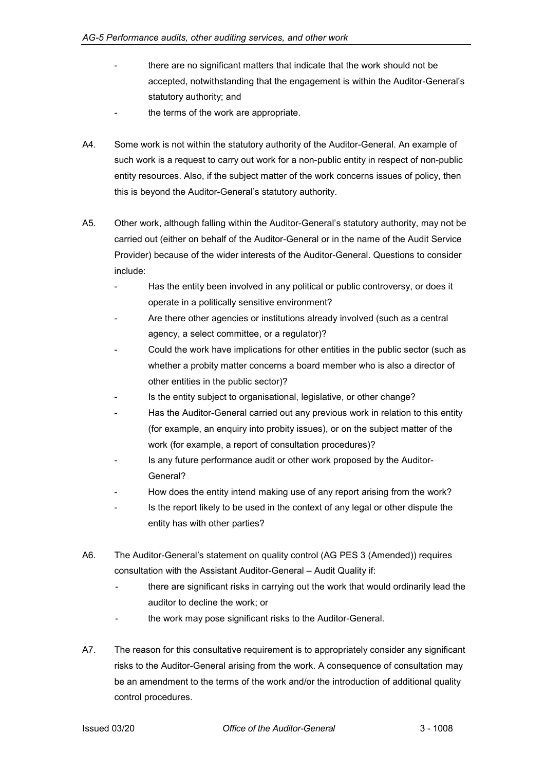- there are no significant matters that indicate that the work should not be accepted, notwithstanding that the engagement is within the Auditor-General's statutory authority; and
- the terms of the work are appropriate.
- A4. Some work is not within the statutory authority of the Auditor-General. An example of such work is a request to carry out work for a non-public entity in respect of non-public entity resources. Also, if the subject matter of the work concerns issues of policy, then this is beyond the Auditor-General's statutory authority.
- A5. Other work, although falling within the Auditor-General's statutory authority, may not be carried out (either on behalf of the Auditor-General or in the name of the Audit Service Provider) because of the wider interests of the Auditor-General. Questions to consider include:
	- Has the entity been involved in any political or public controversy, or does it operate in a politically sensitive environment?
	- Are there other agencies or institutions already involved (such as a central agency, a select committee, or a regulator)?
	- Could the work have implications for other entities in the public sector (such as whether a probity matter concerns a board member who is also a director of other entities in the public sector)?
	- Is the entity subject to organisational, legislative, or other change?
	- Has the Auditor-General carried out any previous work in relation to this entity (for example, an enquiry into probity issues), or on the subject matter of the work (for example, a report of consultation procedures)?
	- Is any future performance audit or other work proposed by the Auditor-General?
	- How does the entity intend making use of any report arising from the work?
	- Is the report likely to be used in the context of any legal or other dispute the entity has with other parties?
- A6. The Auditor-General's statement on quality control (AG PES 3 (Amended)) requires consultation with the Assistant Auditor-General – Audit Quality if:
	- there are significant risks in carrying out the work that would ordinarily lead the auditor to decline the work; or
	- the work may pose significant risks to the Auditor-General.
- A7. The reason for this consultative requirement is to appropriately consider any significant risks to the Auditor-General arising from the work. A consequence of consultation may be an amendment to the terms of the work and/or the introduction of additional quality control procedures.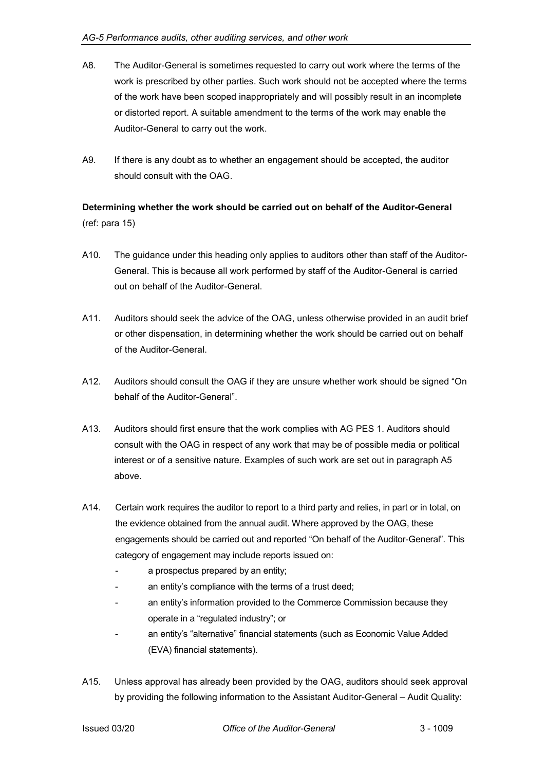- A8. The Auditor-General is sometimes requested to carry out work where the terms of the work is prescribed by other parties. Such work should not be accepted where the terms of the work have been scoped inappropriately and will possibly result in an incomplete or distorted report. A suitable amendment to the terms of the work may enable the Auditor-General to carry out the work.
- A9. If there is any doubt as to whether an engagement should be accepted, the auditor should consult with the OAG.

# <span id="page-9-0"></span>**Determining whether the work should be carried out on behalf of the Auditor-General** (ref: para 15)

- A10. The guidance under this heading only applies to auditors other than staff of the Auditor-General. This is because all work performed by staff of the Auditor-General is carried out on behalf of the Auditor-General.
- A11. Auditors should seek the advice of the OAG, unless otherwise provided in an audit brief or other dispensation, in determining whether the work should be carried out on behalf of the Auditor-General.
- A12. Auditors should consult the OAG if they are unsure whether work should be signed "On behalf of the Auditor-General".
- A13. Auditors should first ensure that the work complies with AG PES 1. Auditors should consult with the OAG in respect of any work that may be of possible media or political interest or of a sensitive nature. Examples of such work are set out in paragraph A5 above.
- A14. Certain work requires the auditor to report to a third party and relies, in part or in total, on the evidence obtained from the annual audit. Where approved by the OAG, these engagements should be carried out and reported "On behalf of the Auditor-General". This category of engagement may include reports issued on:
	- a prospectus prepared by an entity;
	- an entity's compliance with the terms of a trust deed;
	- an entity's information provided to the Commerce Commission because they operate in a "regulated industry"; or
	- an entity's "alternative" financial statements (such as Economic Value Added (EVA) financial statements).
- A15. Unless approval has already been provided by the OAG, auditors should seek approval by providing the following information to the Assistant Auditor-General – Audit Quality: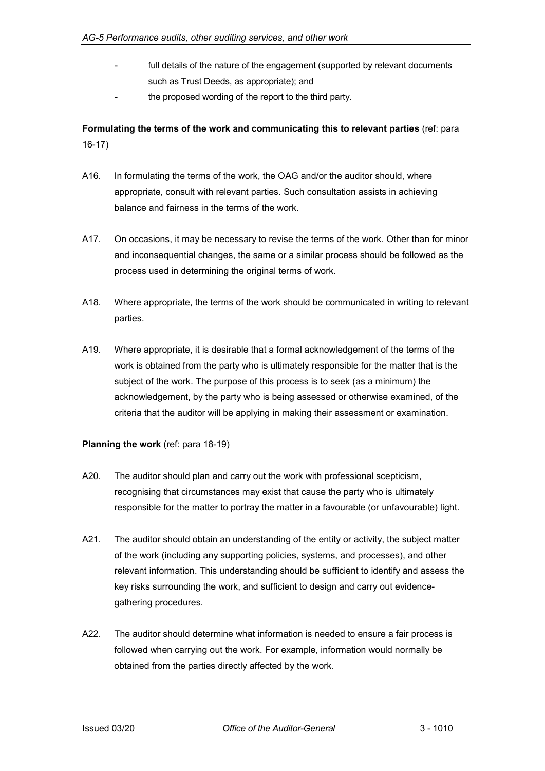- full details of the nature of the engagement (supported by relevant documents such as Trust Deeds, as appropriate); and
- the proposed wording of the report to the third party.

<span id="page-10-0"></span>**Formulating the terms of the work and communicating this to relevant parties** (ref: para 16-17)

- A16. In formulating the terms of the work, the OAG and/or the auditor should, where appropriate, consult with relevant parties. Such consultation assists in achieving balance and fairness in the terms of the work.
- A17. On occasions, it may be necessary to revise the terms of the work. Other than for minor and inconsequential changes, the same or a similar process should be followed as the process used in determining the original terms of work.
- A18. Where appropriate, the terms of the work should be communicated in writing to relevant parties.
- A19. Where appropriate, it is desirable that a formal acknowledgement of the terms of the work is obtained from the party who is ultimately responsible for the matter that is the subject of the work. The purpose of this process is to seek (as a minimum) the acknowledgement, by the party who is being assessed or otherwise examined, of the criteria that the auditor will be applying in making their assessment or examination.

#### <span id="page-10-1"></span>**Planning the work** (ref: para 18-19)

- A20. The auditor should plan and carry out the work with professional scepticism, recognising that circumstances may exist that cause the party who is ultimately responsible for the matter to portray the matter in a favourable (or unfavourable) light.
- A21. The auditor should obtain an understanding of the entity or activity, the subject matter of the work (including any supporting policies, systems, and processes), and other relevant information. This understanding should be sufficient to identify and assess the key risks surrounding the work, and sufficient to design and carry out evidencegathering procedures.
- A22. The auditor should determine what information is needed to ensure a fair process is followed when carrying out the work. For example, information would normally be obtained from the parties directly affected by the work.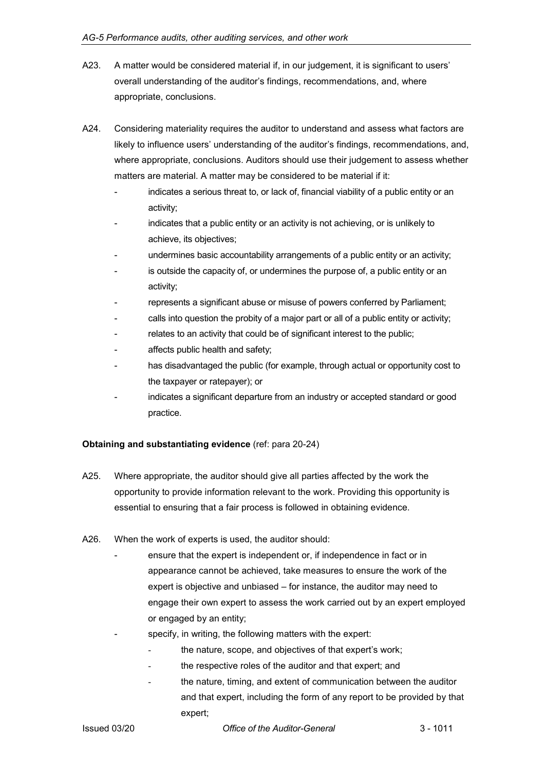- A23. A matter would be considered material if, in our judgement, it is significant to users' overall understanding of the auditor's findings, recommendations, and, where appropriate, conclusions.
- A24. Considering materiality requires the auditor to understand and assess what factors are likely to influence users' understanding of the auditor's findings, recommendations, and, where appropriate, conclusions. Auditors should use their judgement to assess whether matters are material. A matter may be considered to be material if it:
	- indicates a serious threat to, or lack of, financial viability of a public entity or an activity;
	- indicates that a public entity or an activity is not achieving, or is unlikely to achieve, its objectives;
	- undermines basic accountability arrangements of a public entity or an activity;
	- is outside the capacity of, or undermines the purpose of, a public entity or an activity;
	- represents a significant abuse or misuse of powers conferred by Parliament;
	- calls into question the probity of a major part or all of a public entity or activity;
	- relates to an activity that could be of significant interest to the public;
	- affects public health and safety;
	- has disadvantaged the public (for example, through actual or opportunity cost to the taxpayer or ratepayer); or
	- indicates a significant departure from an industry or accepted standard or good practice.

#### <span id="page-11-0"></span>**Obtaining and substantiating evidence** (ref: para 20-24)

- A25. Where appropriate, the auditor should give all parties affected by the work the opportunity to provide information relevant to the work. Providing this opportunity is essential to ensuring that a fair process is followed in obtaining evidence.
- A26. When the work of experts is used, the auditor should:
	- ensure that the expert is independent or, if independence in fact or in appearance cannot be achieved, take measures to ensure the work of the expert is objective and unbiased – for instance, the auditor may need to engage their own expert to assess the work carried out by an expert employed or engaged by an entity;
		- specify, in writing, the following matters with the expert:
		- the nature, scope, and objectives of that expert's work;
		- the respective roles of the auditor and that expert; and
		- the nature, timing, and extent of communication between the auditor and that expert, including the form of any report to be provided by that expert;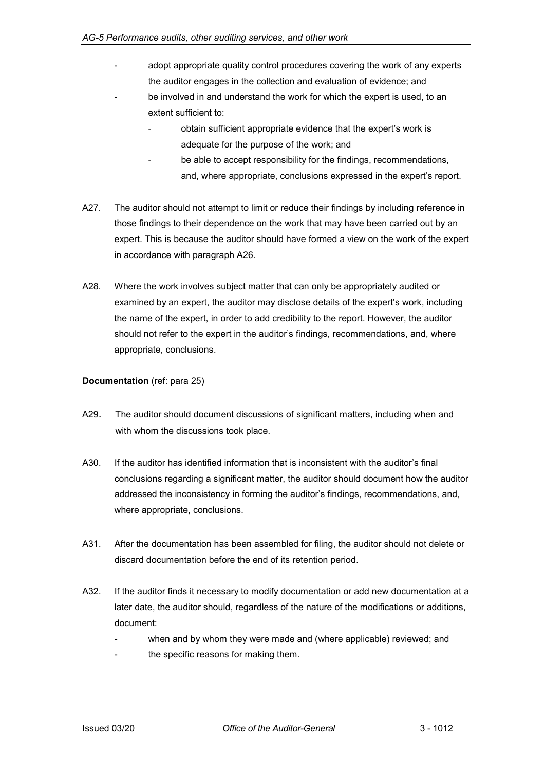- adopt appropriate quality control procedures covering the work of any experts the auditor engages in the collection and evaluation of evidence; and
- be involved in and understand the work for which the expert is used, to an extent sufficient to:
	- obtain sufficient appropriate evidence that the expert's work is adequate for the purpose of the work; and
	- be able to accept responsibility for the findings, recommendations, and, where appropriate, conclusions expressed in the expert's report.
- A27. The auditor should not attempt to limit or reduce their findings by including reference in those findings to their dependence on the work that may have been carried out by an expert. This is because the auditor should have formed a view on the work of the expert in accordance with paragraph A26.
- A28. Where the work involves subject matter that can only be appropriately audited or examined by an expert, the auditor may disclose details of the expert's work, including the name of the expert, in order to add credibility to the report. However, the auditor should not refer to the expert in the auditor's findings, recommendations, and, where appropriate, conclusions.

#### <span id="page-12-0"></span>**Documentation** (ref: para 25)

- A29. The auditor should document discussions of significant matters, including when and with whom the discussions took place.
- A30. If the auditor has identified information that is inconsistent with the auditor's final conclusions regarding a significant matter, the auditor should document how the auditor addressed the inconsistency in forming the auditor's findings, recommendations, and, where appropriate, conclusions.
- A31. After the documentation has been assembled for filing, the auditor should not delete or discard documentation before the end of its retention period.
- A32. If the auditor finds it necessary to modify documentation or add new documentation at a later date, the auditor should, regardless of the nature of the modifications or additions, document:
	- when and by whom they were made and (where applicable) reviewed; and
	- the specific reasons for making them.